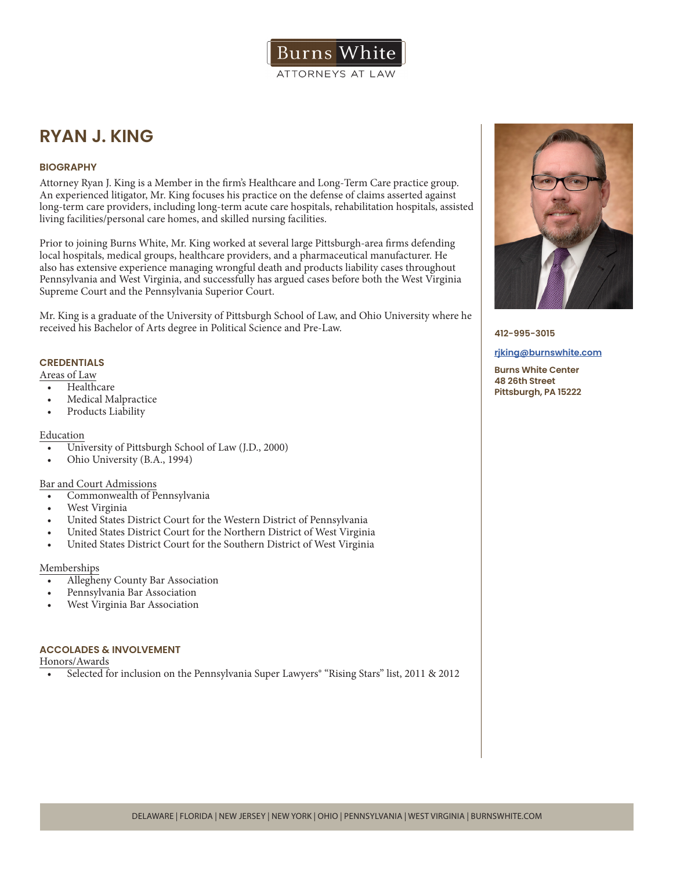# **RYAN J. KING**

#### **BIOGRAPHY**

Attorney Ryan J. King is a Member in the firm's Healthcare and Long-Term Care practice group. An experienced litigator, Mr. King focuses his practice on the defense of claims asserted against long-term care providers, including long-term acute care hospitals, rehabilitation hospitals, assisted living facilities/personal care homes, and skilled nursing facilities.

Prior to joining Burns White, Mr. King worked at several large Pittsburgh-area firms defending local hospitals, medical groups, healthcare providers, and a pharmaceutical manufacturer. He also has extensive experience managing wrongful death and products liability cases throughout Pennsylvania and West Virginia, and successfully has argued cases before both the West Virginia Supreme Court and the Pennsylvania Superior Court.

Mr. King is a graduate of the University of Pittsburgh School of Law, and Ohio University where he received his Bachelor of Arts degree in Political Science and Pre-Law.

### **CREDENTIALS**

Areas of Law

- Healthcare
- Medical Malpractice
- Products Liability

#### Education

- University of Pittsburgh School of Law (J.D., 2000)
- Ohio University (B.A., 1994)

#### Bar and Court Admissions

- Commonwealth of Pennsylvania
- West Virginia
- United States District Court for the Western District of Pennsylvania
- United States District Court for the Northern District of West Virginia
- United States District Court for the Southern District of West Virginia

#### Memberships

- Allegheny County Bar Association
- Pennsylvania Bar Association
- West Virginia Bar Association

#### **ACCOLADES & INVOLVEMENT**

Honors/Awards

• Selected for inclusion on the Pennsylvania Super Lawyers<sup>®</sup> "Rising Stars" list, 2011 & 2012



**412-995-3015**

#### **rjking@burnswhite.com**

**Burns White Center 48 26th Street Pittsburgh, PA 15222**